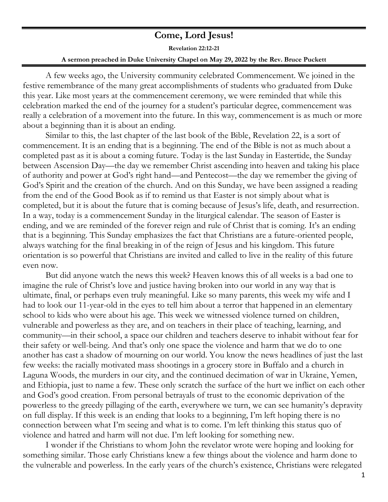## **Come, Lord Jesus!**

**Revelation 22:12-21 A sermon preached in Duke University Chapel on May 29, 2022 by the Rev. Bruce Puckett**

A few weeks ago, the University community celebrated Commencement. We joined in the festive remembrance of the many great accomplishments of students who graduated from Duke this year. Like most years at the commencement ceremony, we were reminded that while this celebration marked the end of the journey for a student's particular degree, commencement was really a celebration of a movement into the future. In this way, commencement is as much or more about a beginning than it is about an ending.

Similar to this, the last chapter of the last book of the Bible, Revelation 22, is a sort of commencement. It is an ending that is a beginning. The end of the Bible is not as much about a completed past as it is about a coming future. Today is the last Sunday in Eastertide, the Sunday between Ascension Day—the day we remember Christ ascending into heaven and taking his place of authority and power at God's right hand—and Pentecost—the day we remember the giving of God's Spirit and the creation of the church. And on this Sunday, we have been assigned a reading from the end of the Good Book as if to remind us that Easter is not simply about what is completed, but it is about the future that is coming because of Jesus's life, death, and resurrection. In a way, today is a commencement Sunday in the liturgical calendar. The season of Easter is ending, and we are reminded of the forever reign and rule of Christ that is coming. It's an ending that is a beginning. This Sunday emphasizes the fact that Christians are a future-oriented people, always watching for the final breaking in of the reign of Jesus and his kingdom. This future orientation is so powerful that Christians are invited and called to live in the reality of this future even now.

But did anyone watch the news this week? Heaven knows this of all weeks is a bad one to imagine the rule of Christ's love and justice having broken into our world in any way that is ultimate, final, or perhaps even truly meaningful. Like so many parents, this week my wife and I had to look our 11-year-old in the eyes to tell him about a terror that happened in an elementary school to kids who were about his age. This week we witnessed violence turned on children, vulnerable and powerless as they are, and on teachers in their place of teaching, learning, and community—in their school, a space our children and teachers deserve to inhabit without fear for their safety or well-being. And that's only one space the violence and harm that we do to one another has cast a shadow of mourning on our world. You know the news headlines of just the last few weeks: the racially motivated mass shootings in a grocery store in Buffalo and a church in Laguna Woods, the murders in our city, and the continued decimation of war in Ukraine, Yemen, and Ethiopia, just to name a few. These only scratch the surface of the hurt we inflict on each other and God's good creation. From personal betrayals of trust to the economic deprivation of the powerless to the greedy pillaging of the earth, everywhere we turn, we can see humanity's depravity on full display. If this week is an ending that looks to a beginning, I'm left hoping there is no connection between what I'm seeing and what is to come. I'm left thinking this status quo of violence and hatred and harm will not due. I'm left looking for something new.

I wonder if the Christians to whom John the revelator wrote were hoping and looking for something similar. Those early Christians knew a few things about the violence and harm done to the vulnerable and powerless. In the early years of the church's existence, Christians were relegated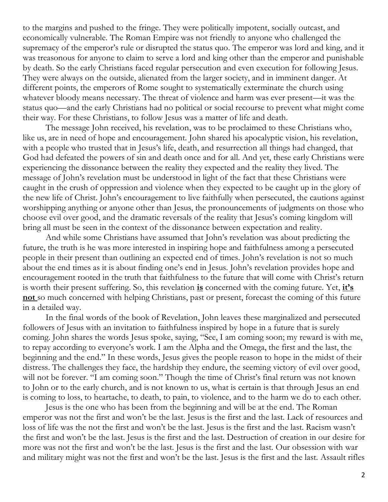to the margins and pushed to the fringe. They were politically impotent, socially outcast, and economically vulnerable. The Roman Empire was not friendly to anyone who challenged the supremacy of the emperor's rule or disrupted the status quo. The emperor was lord and king, and it was treasonous for anyone to claim to serve a lord and king other than the emperor and punishable by death. So the early Christians faced regular persecution and even execution for following Jesus. They were always on the outside, alienated from the larger society, and in imminent danger. At different points, the emperors of Rome sought to systematically exterminate the church using whatever bloody means necessary. The threat of violence and harm was ever present—it was the status quo—and the early Christians had no political or social recourse to prevent what might come their way. For these Christians, to follow Jesus was a matter of life and death.

The message John received, his revelation, was to be proclaimed to these Christians who, like us, are in need of hope and encouragement. John shared his apocalyptic vision, his revelation, with a people who trusted that in Jesus's life, death, and resurrection all things had changed, that God had defeated the powers of sin and death once and for all. And yet, these early Christians were experiencing the dissonance between the reality they expected and the reality they lived. The message of John's revelation must be understood in light of the fact that these Christians were caught in the crush of oppression and violence when they expected to be caught up in the glory of the new life of Christ. John's encouragement to live faithfully when persecuted, the cautions against worshipping anything or anyone other than Jesus, the pronouncements of judgments on those who choose evil over good, and the dramatic reversals of the reality that Jesus's coming kingdom will bring all must be seen in the context of the dissonance between expectation and reality.

And while some Christians have assumed that John's revelation was about predicting the future, the truth is he was more interested in inspiring hope and faithfulness among a persecuted people in their present than outlining an expected end of times. John's revelation is not so much about the end times as it is about finding one's end in Jesus. John's revelation provides hope and encouragement rooted in the truth that faithfulness to the future that will come with Christ's return is worth their present suffering. So, this revelation **is** concerned with the coming future. Yet, **it's not** so much concerned with helping Christians, past or present, forecast the coming of this future in a detailed way.

In the final words of the book of Revelation, John leaves these marginalized and persecuted followers of Jesus with an invitation to faithfulness inspired by hope in a future that is surely coming. John shares the words Jesus spoke, saying, "See, I am coming soon; my reward is with me, to repay according to everyone's work. I am the Alpha and the Omega, the first and the last, the beginning and the end." In these words, Jesus gives the people reason to hope in the midst of their distress. The challenges they face, the hardship they endure, the seeming victory of evil over good, will not be forever. "I am coming soon." Though the time of Christ's final return was not known to John or to the early church, and is not known to us, what is certain is that through Jesus an end is coming to loss, to heartache, to death, to pain, to violence, and to the harm we do to each other.

Jesus is the one who has been from the beginning and will be at the end. The Roman emperor was not the first and won't be the last. Jesus is the first and the last. Lack of resources and loss of life was the not the first and won't be the last. Jesus is the first and the last. Racism wasn't the first and won't be the last. Jesus is the first and the last. Destruction of creation in our desire for more was not the first and won't be the last. Jesus is the first and the last. Our obsession with war and military might was not the first and won't be the last. Jesus is the first and the last. Assault rifles